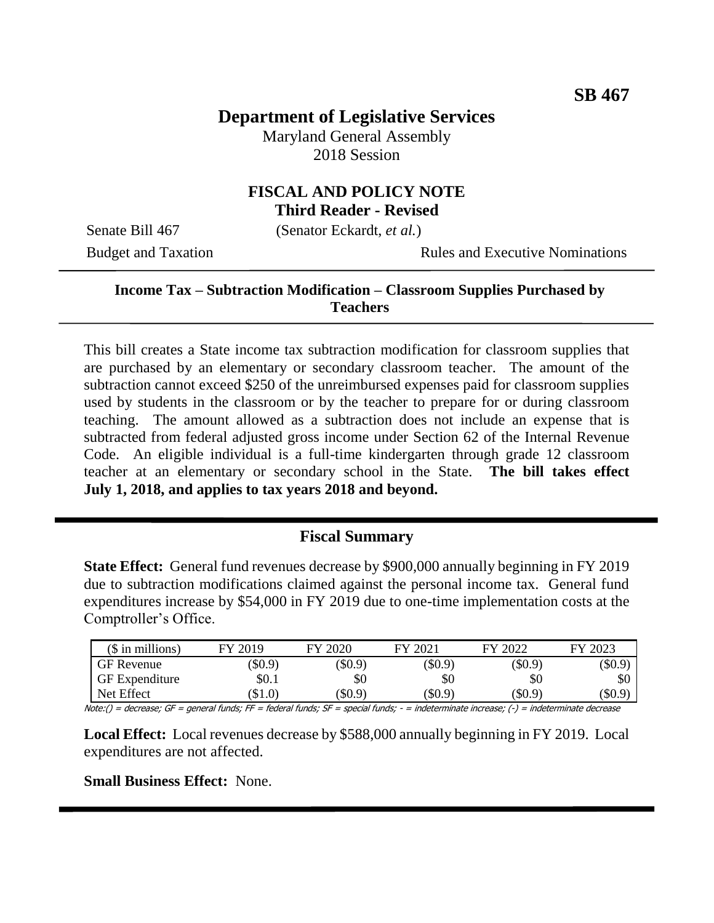# **Department of Legislative Services**

Maryland General Assembly 2018 Session

#### **FISCAL AND POLICY NOTE Third Reader - Revised**

Senate Bill 467 (Senator Eckardt, *et al.*)

Budget and Taxation Rules and Executive Nominations

#### **Income Tax – Subtraction Modification – Classroom Supplies Purchased by Teachers**

This bill creates a State income tax subtraction modification for classroom supplies that are purchased by an elementary or secondary classroom teacher. The amount of the subtraction cannot exceed \$250 of the unreimbursed expenses paid for classroom supplies used by students in the classroom or by the teacher to prepare for or during classroom teaching. The amount allowed as a subtraction does not include an expense that is subtracted from federal adjusted gross income under Section 62 of the Internal Revenue Code. An eligible individual is a full-time kindergarten through grade 12 classroom teacher at an elementary or secondary school in the State. **The bill takes effect July 1, 2018, and applies to tax years 2018 and beyond.**

## **Fiscal Summary**

**State Effect:** General fund revenues decrease by \$900,000 annually beginning in FY 2019 due to subtraction modifications claimed against the personal income tax. General fund expenditures increase by \$54,000 in FY 2019 due to one-time implementation costs at the Comptroller's Office.

| $($$ in millions)                                                                                                                                                                  | FY 2019 | FY 2020   | FY 2021   | FY 2022   | FY 2023       |
|------------------------------------------------------------------------------------------------------------------------------------------------------------------------------------|---------|-----------|-----------|-----------|---------------|
| GF Revenue                                                                                                                                                                         | \$0.9   | $(\$0.9)$ | $(\$0.9)$ | $(\$0.9)$ | \$0.9         |
| <b>GF</b> Expenditure                                                                                                                                                              | \$0.1   | \$0       | \$0       | \$0       | æО            |
| Net Effect                                                                                                                                                                         | \$1.0   | (\$0.9)   | (\$0.9)   | (\$0.9)   | $($ \$0.9 $)$ |
| $M_{1}$ $M_{2}$ $M_{3}$ $M_{2}$ $M_{3}$ $M_{4}$ $M_{5}$ $M_{4}$ $M_{5}$ $M_{5}$ $M_{6}$ $M_{7}$ $M_{7}$ $M_{8}$ $M_{9}$ $M_{10}$ $M_{11}$<br>the states meeting the statements are |         |           |           |           |               |

Note:() = decrease; GF = general funds; FF = federal funds; SF = special funds; - = indeterminate increase; (-) = indeterminate decrease

**Local Effect:** Local revenues decrease by \$588,000 annually beginning in FY 2019. Local expenditures are not affected.

**Small Business Effect:** None.